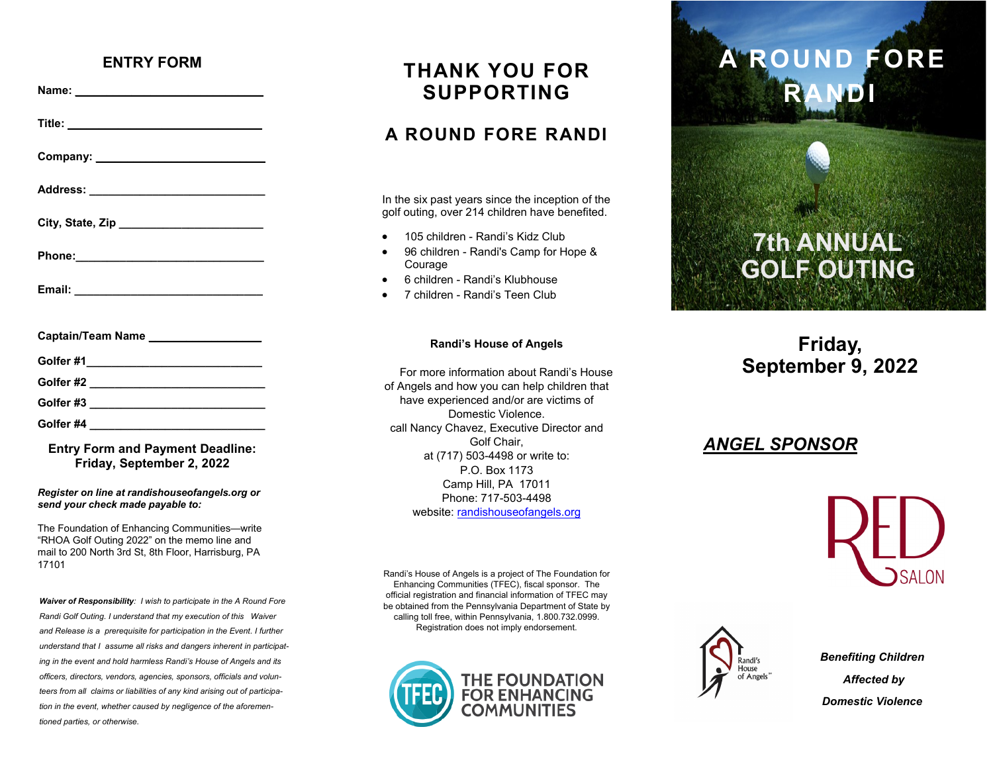#### **ENTRY FORM**

**Name: \_\_\_\_\_\_\_\_\_\_\_\_\_\_\_\_\_\_\_\_\_\_\_\_\_\_\_\_\_\_**

**Title: \_\_\_\_\_\_\_\_\_\_\_\_\_\_\_\_\_\_\_\_\_\_\_\_\_\_\_\_\_\_\_**

**Company: \_\_\_\_\_\_\_\_\_\_\_\_\_\_\_\_\_\_\_\_\_\_\_\_\_\_\_**

**Address: \_\_\_\_\_\_\_\_\_\_\_\_\_\_\_\_\_\_\_\_\_\_\_\_\_\_\_\_**

**City, State, Zip \_\_\_\_\_\_\_\_\_\_\_\_\_\_\_\_\_\_\_\_\_\_\_**

**Phone:\_\_\_\_\_\_\_\_\_\_\_\_\_\_\_\_\_\_\_\_\_\_\_\_\_\_\_\_\_\_\_** 

**Email: \_\_\_\_\_\_\_\_\_\_\_\_\_\_\_\_\_\_\_\_\_\_\_\_\_\_\_\_\_\_**

| <b>Captain/Team Name</b><br>the control of the control of the control of the |  |  |  |
|------------------------------------------------------------------------------|--|--|--|
| Golfer #1                                                                    |  |  |  |
| Golfer #2                                                                    |  |  |  |
| Golfer#3                                                                     |  |  |  |
| Golfer #4                                                                    |  |  |  |

#### **Entry Form and Payment Deadline: Friday, September 2, 2022**

*Register on line at randishouseofangels.org or send your check made payable to:*

The Foundation of Enhancing Communities—write "RHOA Golf Outing 2022" on the memo line and mail to 200 North 3rd St, 8th Floor, Harrisburg, PA 17101

*Waiver of Responsibility: I wish to participate in the A Round Fore Randi Golf Outing. I understand that my execution of this Waiver and Release is a prerequisite for participation in the Event. I further understand that I assume all risks and dangers inherent in participating in the event and hold harmless Randi's House of Angels and its officers, directors, vendors, agencies, sponsors, officials and volunteers from all claims or liabilities of any kind arising out of participation in the event, whether caused by negligence of the aforementioned parties, or otherwise.* 

## **THANK YOU FOR SUPPORTING**

### **A ROUND FORE RANDI**

In the six past years since the inception of the golf outing, over 214 children have benefited.

- 105 children Randi's Kidz Club
- 96 children Randi's Camp for Hope & **Courage**
- 6 children Randi's Klubhouse
- 7 children Randi's Teen Club

#### **Randi's House of Angels**

For more information about Randi's House of Angels and how you can help children that have experienced and/or are victims of Domestic Violence. call Nancy Chavez, Executive Director and Golf Chair, at (717) 503-4498 or write to: P.O. Box 1173 Camp Hill, PA 17011 Phone: 717-503-4498 website: [randishouseofangels.org](https://randishouseofangels.org/)

Randi's House of Angels is a project of The Foundation for Enhancing Communities (TFEC), fiscal sponsor. The official registration and financial information of TFEC may be obtained from the Pennsylvania Department of State by calling toll free, within Pennsylvania, 1.800.732.0999. Registration does not imply endorsement.



# **A ROUND FORE RANDI**

# **7th ANNUAL GOLF OUTING**

### **Friday, September 9, 2022**

### *ANGEL SPONSOR*





*Benefiting Children Affected by Domestic Violence*